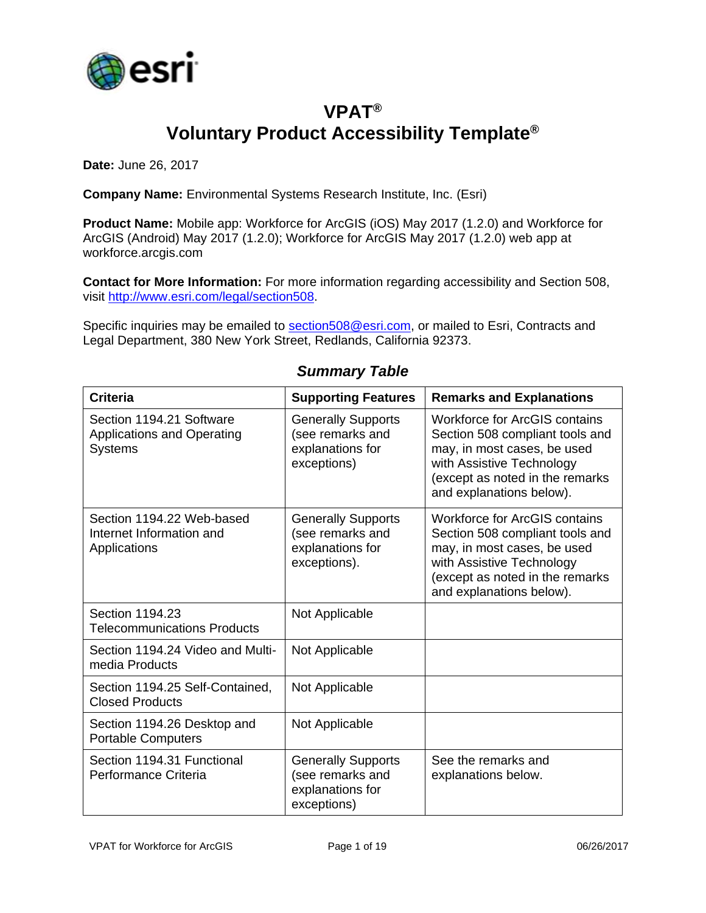

### **VPAT® Voluntary Product Accessibility Template®**

**Date:** June 26, 2017

**Company Name:** Environmental Systems Research Institute, Inc. (Esri)

**Product Name:** Mobile app: Workforce for ArcGIS (iOS) May 2017 (1.2.0) and Workforce for ArcGIS (Android) May 2017 (1.2.0); Workforce for ArcGIS May 2017 (1.2.0) web app at workforce.arcgis.com

**Contact for More Information:** For more information regarding accessibility and Section 508, visit [http://www.esri.com/legal/section508.](http://www.esri.com/legal/section508)

Specific inquiries may be emailed to [section508@esri.com,](mailto:section508@esri.com) or mailed to Esri, Contracts and Legal Department, 380 New York Street, Redlands, California 92373.

| <b>Criteria</b>                                                                 | <b>Supporting Features</b>                                                        | <b>Remarks and Explanations</b>                                                                                                                                                                    |
|---------------------------------------------------------------------------------|-----------------------------------------------------------------------------------|----------------------------------------------------------------------------------------------------------------------------------------------------------------------------------------------------|
| Section 1194.21 Software<br><b>Applications and Operating</b><br><b>Systems</b> | <b>Generally Supports</b><br>(see remarks and<br>explanations for<br>exceptions)  | Workforce for ArcGIS contains<br>Section 508 compliant tools and<br>may, in most cases, be used<br>with Assistive Technology<br>(except as noted in the remarks<br>and explanations below).        |
| Section 1194.22 Web-based<br>Internet Information and<br>Applications           | <b>Generally Supports</b><br>(see remarks and<br>explanations for<br>exceptions). | <b>Workforce for ArcGIS contains</b><br>Section 508 compliant tools and<br>may, in most cases, be used<br>with Assistive Technology<br>(except as noted in the remarks<br>and explanations below). |
| Section 1194.23<br><b>Telecommunications Products</b>                           | Not Applicable                                                                    |                                                                                                                                                                                                    |
| Section 1194.24 Video and Multi-<br>media Products                              | Not Applicable                                                                    |                                                                                                                                                                                                    |
| Section 1194.25 Self-Contained,<br><b>Closed Products</b>                       | Not Applicable                                                                    |                                                                                                                                                                                                    |
| Section 1194.26 Desktop and<br><b>Portable Computers</b>                        | Not Applicable                                                                    |                                                                                                                                                                                                    |
| Section 1194.31 Functional<br>Performance Criteria                              | <b>Generally Supports</b><br>(see remarks and<br>explanations for<br>exceptions)  | See the remarks and<br>explanations below.                                                                                                                                                         |

#### *Summary Table*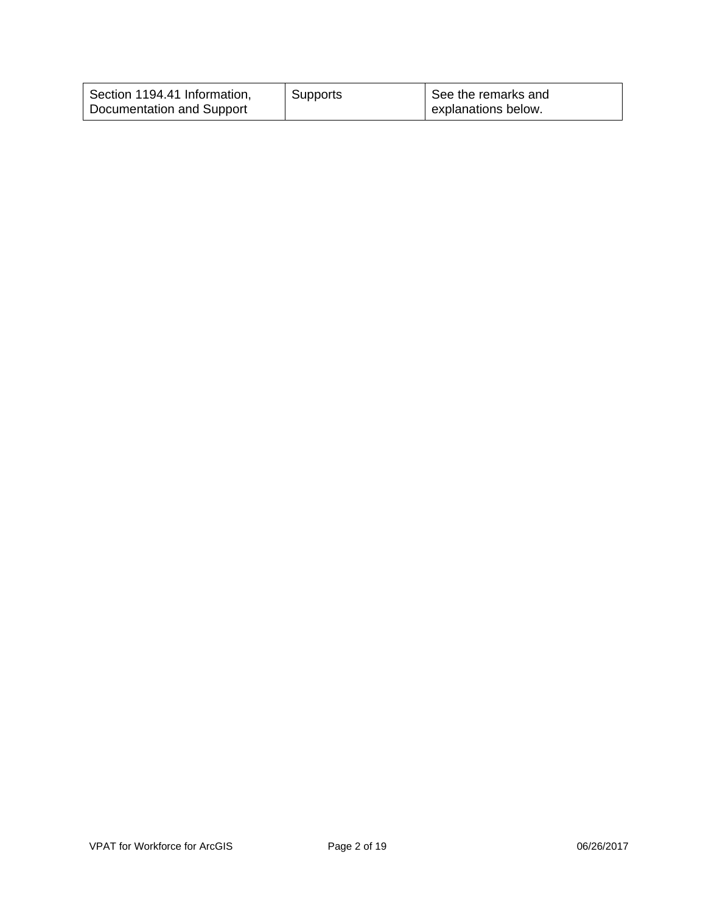| Section 1194.41 Information, | Supports | See the remarks and |
|------------------------------|----------|---------------------|
| Documentation and Support    |          | explanations below. |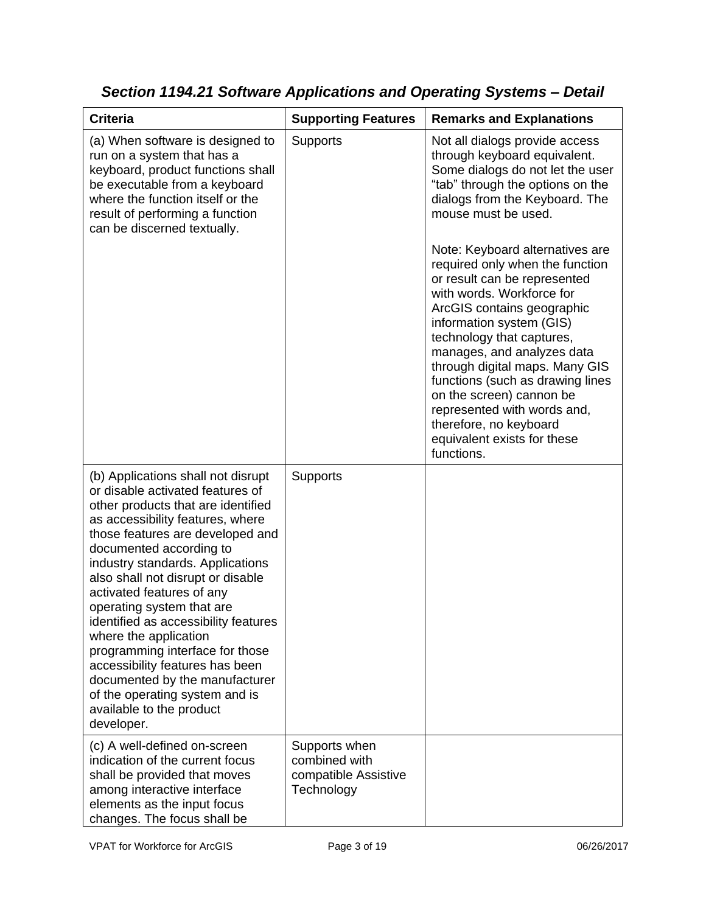| <b>Criteria</b>                                                                                                                                                                                                                                                                                                                                                                                                                                                                                                                                                                                         | <b>Supporting Features</b>                                           | <b>Remarks and Explanations</b>                                                                                                                                                                                                                                                                                                                                                                                                                              |
|---------------------------------------------------------------------------------------------------------------------------------------------------------------------------------------------------------------------------------------------------------------------------------------------------------------------------------------------------------------------------------------------------------------------------------------------------------------------------------------------------------------------------------------------------------------------------------------------------------|----------------------------------------------------------------------|--------------------------------------------------------------------------------------------------------------------------------------------------------------------------------------------------------------------------------------------------------------------------------------------------------------------------------------------------------------------------------------------------------------------------------------------------------------|
| (a) When software is designed to<br>run on a system that has a<br>keyboard, product functions shall<br>be executable from a keyboard<br>where the function itself or the<br>result of performing a function<br>can be discerned textually.                                                                                                                                                                                                                                                                                                                                                              | <b>Supports</b>                                                      | Not all dialogs provide access<br>through keyboard equivalent.<br>Some dialogs do not let the user<br>"tab" through the options on the<br>dialogs from the Keyboard. The<br>mouse must be used.                                                                                                                                                                                                                                                              |
|                                                                                                                                                                                                                                                                                                                                                                                                                                                                                                                                                                                                         |                                                                      | Note: Keyboard alternatives are<br>required only when the function<br>or result can be represented<br>with words. Workforce for<br>ArcGIS contains geographic<br>information system (GIS)<br>technology that captures,<br>manages, and analyzes data<br>through digital maps. Many GIS<br>functions (such as drawing lines<br>on the screen) cannon be<br>represented with words and,<br>therefore, no keyboard<br>equivalent exists for these<br>functions. |
| (b) Applications shall not disrupt<br>or disable activated features of<br>other products that are identified<br>as accessibility features, where<br>those features are developed and<br>documented according to<br>industry standards. Applications<br>also shall not disrupt or disable<br>activated features of any<br>operating system that are<br>identified as accessibility features<br>where the application<br>programming interface for those<br>accessibility features has been<br>documented by the manufacturer<br>of the operating system and is<br>available to the product<br>developer. | <b>Supports</b>                                                      |                                                                                                                                                                                                                                                                                                                                                                                                                                                              |
| (c) A well-defined on-screen<br>indication of the current focus<br>shall be provided that moves<br>among interactive interface<br>elements as the input focus<br>changes. The focus shall be                                                                                                                                                                                                                                                                                                                                                                                                            | Supports when<br>combined with<br>compatible Assistive<br>Technology |                                                                                                                                                                                                                                                                                                                                                                                                                                                              |

*Section 1194.21 Software Applications and Operating Systems – Detail*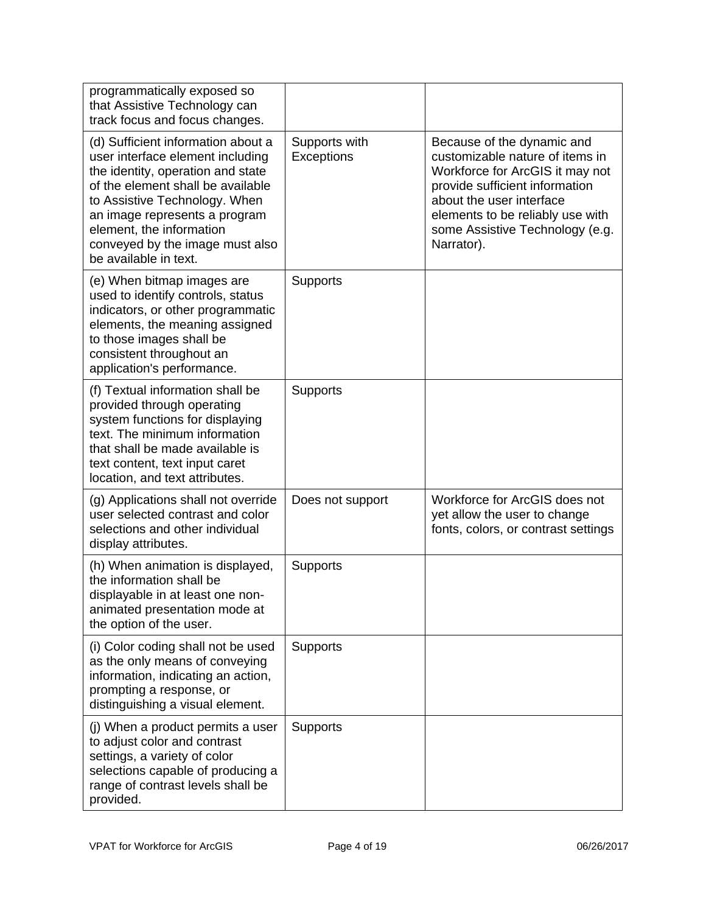| programmatically exposed so<br>that Assistive Technology can<br>track focus and focus changes.                                                                                                                                                                                                             |                             |                                                                                                                                                                                                                                                     |
|------------------------------------------------------------------------------------------------------------------------------------------------------------------------------------------------------------------------------------------------------------------------------------------------------------|-----------------------------|-----------------------------------------------------------------------------------------------------------------------------------------------------------------------------------------------------------------------------------------------------|
| (d) Sufficient information about a<br>user interface element including<br>the identity, operation and state<br>of the element shall be available<br>to Assistive Technology. When<br>an image represents a program<br>element, the information<br>conveyed by the image must also<br>be available in text. | Supports with<br>Exceptions | Because of the dynamic and<br>customizable nature of items in<br>Workforce for ArcGIS it may not<br>provide sufficient information<br>about the user interface<br>elements to be reliably use with<br>some Assistive Technology (e.g.<br>Narrator). |
| (e) When bitmap images are<br>used to identify controls, status<br>indicators, or other programmatic<br>elements, the meaning assigned<br>to those images shall be<br>consistent throughout an<br>application's performance.                                                                               | Supports                    |                                                                                                                                                                                                                                                     |
| (f) Textual information shall be<br>provided through operating<br>system functions for displaying<br>text. The minimum information<br>that shall be made available is<br>text content, text input caret<br>location, and text attributes.                                                                  | Supports                    |                                                                                                                                                                                                                                                     |
| (g) Applications shall not override<br>user selected contrast and color<br>selections and other individual<br>display attributes.                                                                                                                                                                          | Does not support            | Workforce for ArcGIS does not<br>yet allow the user to change<br>fonts, colors, or contrast settings                                                                                                                                                |
| (h) When animation is displayed,<br>the information shall be<br>displayable in at least one non-<br>animated presentation mode at<br>the option of the user.                                                                                                                                               | Supports                    |                                                                                                                                                                                                                                                     |
| (i) Color coding shall not be used<br>as the only means of conveying<br>information, indicating an action,<br>prompting a response, or<br>distinguishing a visual element.                                                                                                                                 | Supports                    |                                                                                                                                                                                                                                                     |
| (j) When a product permits a user<br>to adjust color and contrast<br>settings, a variety of color<br>selections capable of producing a<br>range of contrast levels shall be<br>provided.                                                                                                                   | <b>Supports</b>             |                                                                                                                                                                                                                                                     |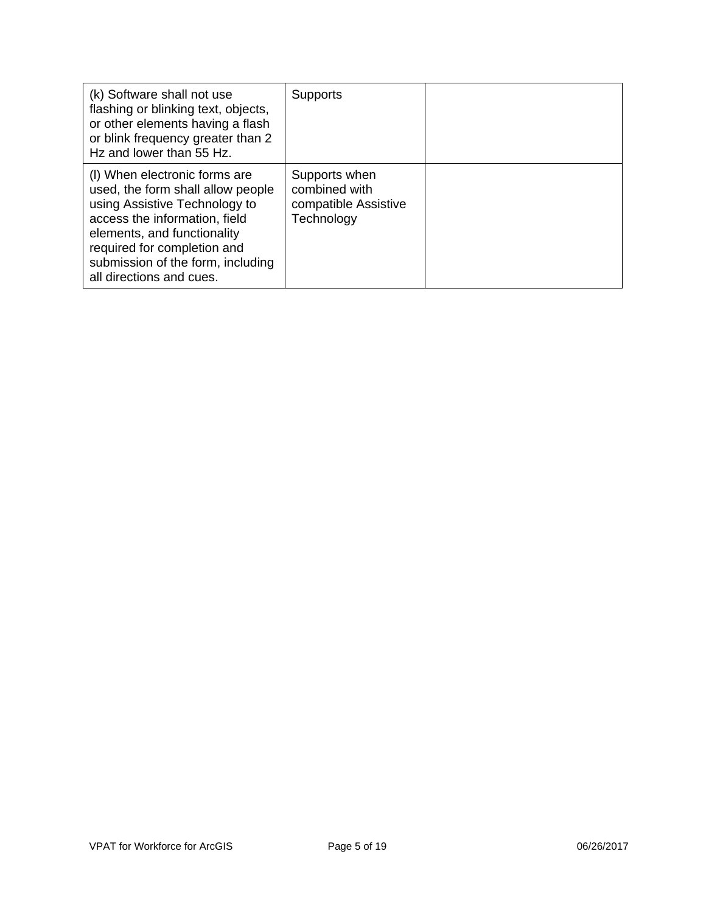| (k) Software shall not use<br>flashing or blinking text, objects,<br>or other elements having a flash<br>or blink frequency greater than 2<br>Hz and lower than 55 Hz.                                                                                              | <b>Supports</b>                                                      |  |
|---------------------------------------------------------------------------------------------------------------------------------------------------------------------------------------------------------------------------------------------------------------------|----------------------------------------------------------------------|--|
| (I) When electronic forms are<br>used, the form shall allow people<br>using Assistive Technology to<br>access the information, field<br>elements, and functionality<br>required for completion and<br>submission of the form, including<br>all directions and cues. | Supports when<br>combined with<br>compatible Assistive<br>Technology |  |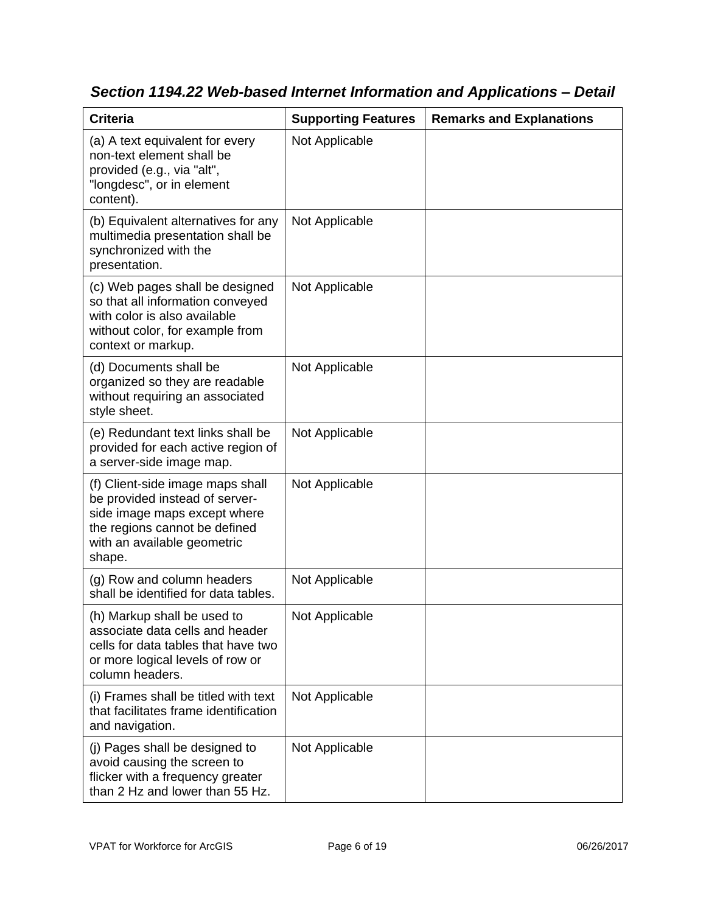| <b>Criteria</b>                                                                                                                                                              | <b>Supporting Features</b> | <b>Remarks and Explanations</b> |
|------------------------------------------------------------------------------------------------------------------------------------------------------------------------------|----------------------------|---------------------------------|
| (a) A text equivalent for every<br>non-text element shall be<br>provided (e.g., via "alt",<br>"longdesc", or in element<br>content).                                         | Not Applicable             |                                 |
| (b) Equivalent alternatives for any<br>multimedia presentation shall be<br>synchronized with the<br>presentation.                                                            | Not Applicable             |                                 |
| (c) Web pages shall be designed<br>so that all information conveyed<br>with color is also available<br>without color, for example from<br>context or markup.                 | Not Applicable             |                                 |
| (d) Documents shall be<br>organized so they are readable<br>without requiring an associated<br>style sheet.                                                                  | Not Applicable             |                                 |
| (e) Redundant text links shall be<br>provided for each active region of<br>a server-side image map.                                                                          | Not Applicable             |                                 |
| (f) Client-side image maps shall<br>be provided instead of server-<br>side image maps except where<br>the regions cannot be defined<br>with an available geometric<br>shape. | Not Applicable             |                                 |
| (g) Row and column headers<br>shall be identified for data tables.                                                                                                           | Not Applicable             |                                 |
| (h) Markup shall be used to<br>associate data cells and header<br>cells for data tables that have two<br>or more logical levels of row or<br>column headers.                 | Not Applicable             |                                 |
| (i) Frames shall be titled with text<br>that facilitates frame identification<br>and navigation.                                                                             | Not Applicable             |                                 |
| (j) Pages shall be designed to<br>avoid causing the screen to<br>flicker with a frequency greater<br>than 2 Hz and lower than 55 Hz.                                         | Not Applicable             |                                 |

*Section 1194.22 Web-based Internet Information and Applications – Detail*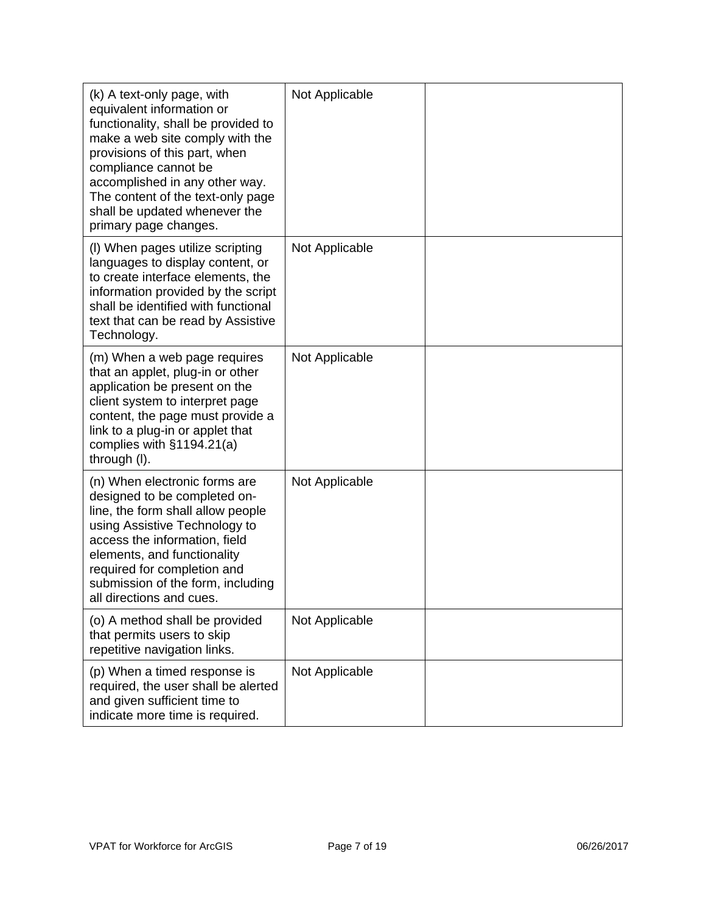| (k) A text-only page, with<br>equivalent information or<br>functionality, shall be provided to<br>make a web site comply with the<br>provisions of this part, when<br>compliance cannot be<br>accomplished in any other way.<br>The content of the text-only page<br>shall be updated whenever the<br>primary page changes. | Not Applicable |  |
|-----------------------------------------------------------------------------------------------------------------------------------------------------------------------------------------------------------------------------------------------------------------------------------------------------------------------------|----------------|--|
| (I) When pages utilize scripting<br>languages to display content, or<br>to create interface elements, the<br>information provided by the script<br>shall be identified with functional<br>text that can be read by Assistive<br>Technology.                                                                                 | Not Applicable |  |
| (m) When a web page requires<br>that an applet, plug-in or other<br>application be present on the<br>client system to interpret page<br>content, the page must provide a<br>link to a plug-in or applet that<br>complies with $§1194.21(a)$<br>through (I).                                                                 | Not Applicable |  |
| (n) When electronic forms are<br>designed to be completed on-<br>line, the form shall allow people<br>using Assistive Technology to<br>access the information, field<br>elements, and functionality<br>required for completion and<br>submission of the form, including<br>all directions and cues.                         | Not Applicable |  |
| (o) A method shall be provided<br>that permits users to skip<br>repetitive navigation links.                                                                                                                                                                                                                                | Not Applicable |  |
| (p) When a timed response is<br>required, the user shall be alerted<br>and given sufficient time to<br>indicate more time is required.                                                                                                                                                                                      | Not Applicable |  |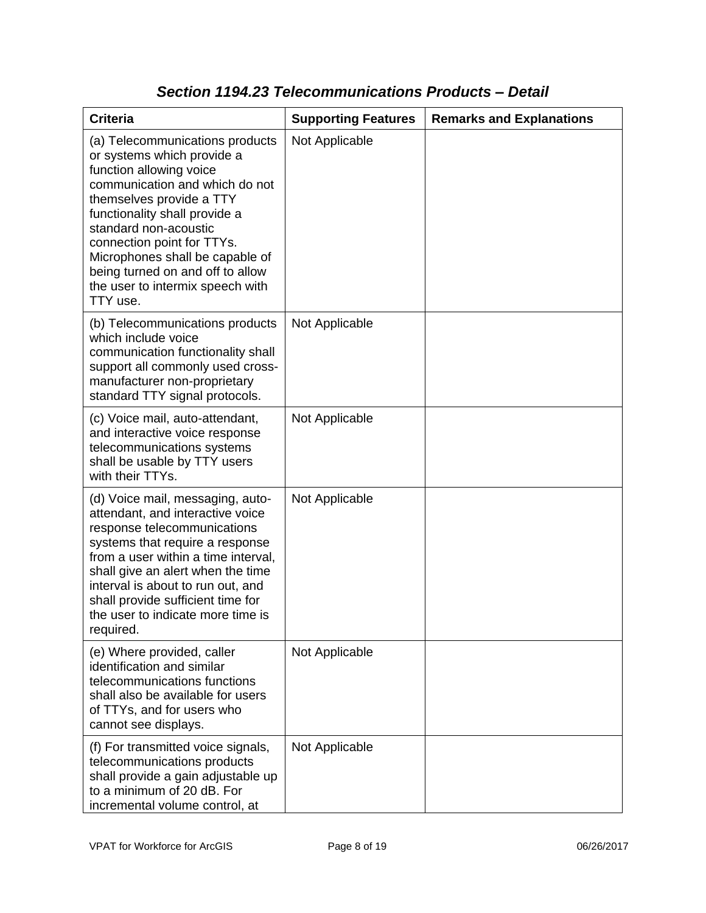| <b>Criteria</b>                                                                                                                                                                                                                                                                                                                                                       | <b>Supporting Features</b> | <b>Remarks and Explanations</b> |
|-----------------------------------------------------------------------------------------------------------------------------------------------------------------------------------------------------------------------------------------------------------------------------------------------------------------------------------------------------------------------|----------------------------|---------------------------------|
| (a) Telecommunications products<br>or systems which provide a<br>function allowing voice<br>communication and which do not<br>themselves provide a TTY<br>functionality shall provide a<br>standard non-acoustic<br>connection point for TTYs.<br>Microphones shall be capable of<br>being turned on and off to allow<br>the user to intermix speech with<br>TTY use. | Not Applicable             |                                 |
| (b) Telecommunications products<br>which include voice<br>communication functionality shall<br>support all commonly used cross-<br>manufacturer non-proprietary<br>standard TTY signal protocols.                                                                                                                                                                     | Not Applicable             |                                 |
| (c) Voice mail, auto-attendant,<br>and interactive voice response<br>telecommunications systems<br>shall be usable by TTY users<br>with their TTYs.                                                                                                                                                                                                                   | Not Applicable             |                                 |
| (d) Voice mail, messaging, auto-<br>attendant, and interactive voice<br>response telecommunications<br>systems that require a response<br>from a user within a time interval,<br>shall give an alert when the time<br>interval is about to run out, and<br>shall provide sufficient time for<br>the user to indicate more time is<br>required.                        | Not Applicable             |                                 |
| (e) Where provided, caller<br>identification and similar<br>telecommunications functions<br>shall also be available for users<br>of TTYs, and for users who<br>cannot see displays.                                                                                                                                                                                   | Not Applicable             |                                 |
| (f) For transmitted voice signals,<br>telecommunications products<br>shall provide a gain adjustable up<br>to a minimum of 20 dB. For<br>incremental volume control, at                                                                                                                                                                                               | Not Applicable             |                                 |

### *Section 1194.23 Telecommunications Products – Detail*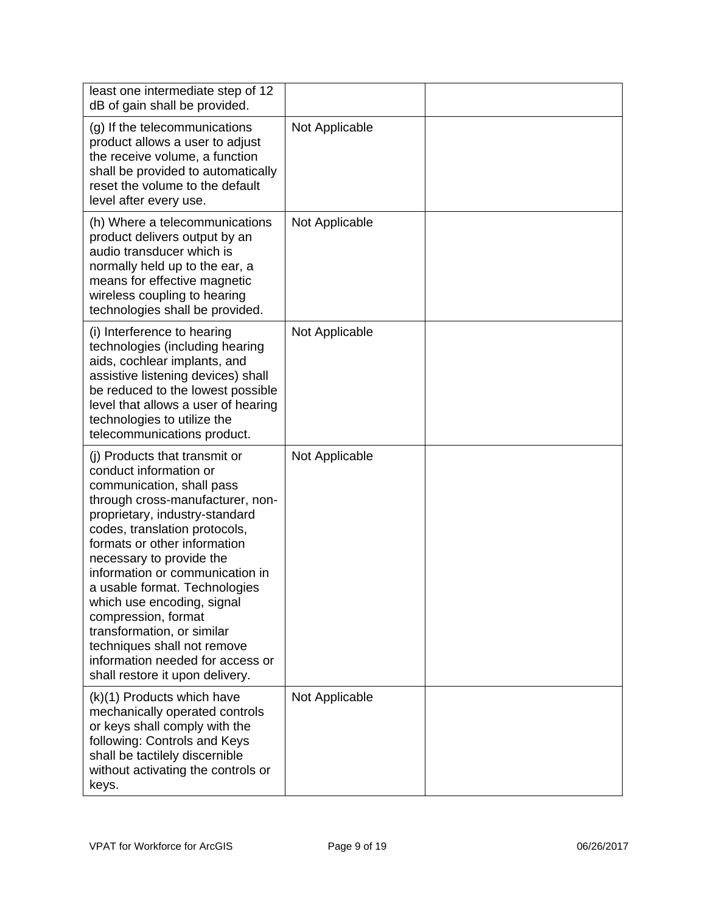| least one intermediate step of 12<br>dB of gain shall be provided.                                                                                                                                                                                                                                                                                                                                                                                                                                                   |                |  |
|----------------------------------------------------------------------------------------------------------------------------------------------------------------------------------------------------------------------------------------------------------------------------------------------------------------------------------------------------------------------------------------------------------------------------------------------------------------------------------------------------------------------|----------------|--|
| (g) If the telecommunications<br>product allows a user to adjust<br>the receive volume, a function<br>shall be provided to automatically<br>reset the volume to the default<br>level after every use.                                                                                                                                                                                                                                                                                                                | Not Applicable |  |
| (h) Where a telecommunications<br>product delivers output by an<br>audio transducer which is<br>normally held up to the ear, a<br>means for effective magnetic<br>wireless coupling to hearing<br>technologies shall be provided.                                                                                                                                                                                                                                                                                    | Not Applicable |  |
| (i) Interference to hearing<br>technologies (including hearing<br>aids, cochlear implants, and<br>assistive listening devices) shall<br>be reduced to the lowest possible<br>level that allows a user of hearing<br>technologies to utilize the<br>telecommunications product.                                                                                                                                                                                                                                       | Not Applicable |  |
| (i) Products that transmit or<br>conduct information or<br>communication, shall pass<br>through cross-manufacturer, non-<br>proprietary, industry-standard<br>codes, translation protocols,<br>formats or other information<br>necessary to provide the<br>information or communication in<br>a usable format. Technologies<br>which use encoding, signal<br>compression, format<br>transformation, or similar<br>techniques shall not remove<br>information needed for access or<br>shall restore it upon delivery. | Not Applicable |  |
| (k)(1) Products which have<br>mechanically operated controls<br>or keys shall comply with the<br>following: Controls and Keys<br>shall be tactilely discernible<br>without activating the controls or<br>keys.                                                                                                                                                                                                                                                                                                       | Not Applicable |  |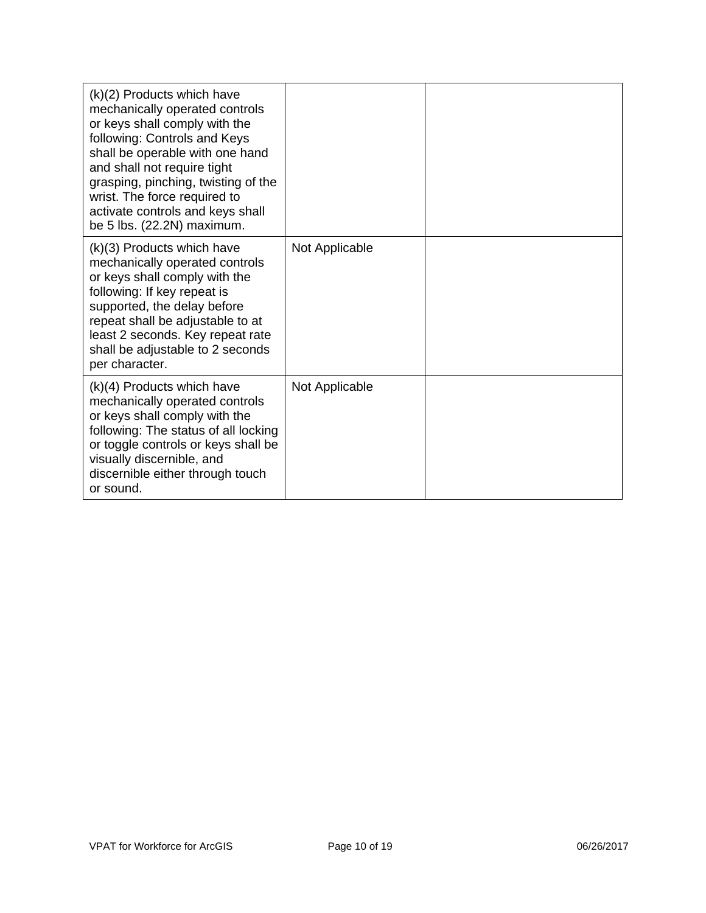| (k)(2) Products which have<br>mechanically operated controls<br>or keys shall comply with the<br>following: Controls and Keys<br>shall be operable with one hand<br>and shall not require tight<br>grasping, pinching, twisting of the<br>wrist. The force required to<br>activate controls and keys shall<br>be 5 lbs. (22.2N) maximum. |                |  |
|------------------------------------------------------------------------------------------------------------------------------------------------------------------------------------------------------------------------------------------------------------------------------------------------------------------------------------------|----------------|--|
| $(k)(3)$ Products which have<br>mechanically operated controls<br>or keys shall comply with the<br>following: If key repeat is<br>supported, the delay before<br>repeat shall be adjustable to at<br>least 2 seconds. Key repeat rate<br>shall be adjustable to 2 seconds<br>per character.                                              | Not Applicable |  |
| (k)(4) Products which have<br>mechanically operated controls<br>or keys shall comply with the<br>following: The status of all locking<br>or toggle controls or keys shall be<br>visually discernible, and<br>discernible either through touch<br>or sound.                                                                               | Not Applicable |  |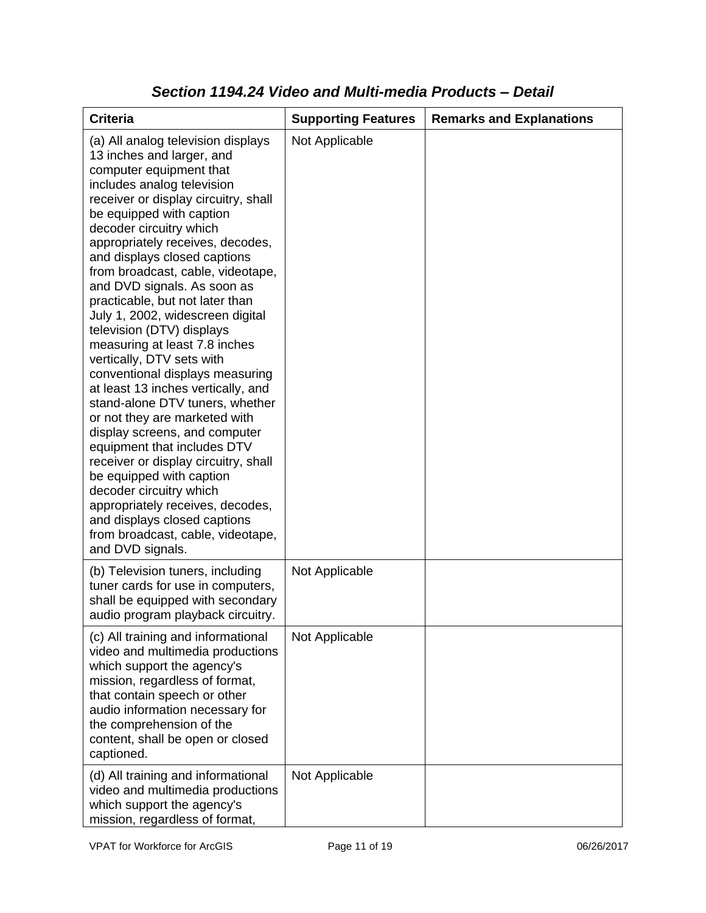| <b>Criteria</b>                                                                                                                                                                                                                                                                                                                                                                                                                                                                                                                                                                                                                                                                                                                                                                                                                                                                                                                                                            | <b>Supporting Features</b> | <b>Remarks and Explanations</b> |
|----------------------------------------------------------------------------------------------------------------------------------------------------------------------------------------------------------------------------------------------------------------------------------------------------------------------------------------------------------------------------------------------------------------------------------------------------------------------------------------------------------------------------------------------------------------------------------------------------------------------------------------------------------------------------------------------------------------------------------------------------------------------------------------------------------------------------------------------------------------------------------------------------------------------------------------------------------------------------|----------------------------|---------------------------------|
| (a) All analog television displays<br>13 inches and larger, and<br>computer equipment that<br>includes analog television<br>receiver or display circuitry, shall<br>be equipped with caption<br>decoder circuitry which<br>appropriately receives, decodes,<br>and displays closed captions<br>from broadcast, cable, videotape,<br>and DVD signals. As soon as<br>practicable, but not later than<br>July 1, 2002, widescreen digital<br>television (DTV) displays<br>measuring at least 7.8 inches<br>vertically, DTV sets with<br>conventional displays measuring<br>at least 13 inches vertically, and<br>stand-alone DTV tuners, whether<br>or not they are marketed with<br>display screens, and computer<br>equipment that includes DTV<br>receiver or display circuitry, shall<br>be equipped with caption<br>decoder circuitry which<br>appropriately receives, decodes,<br>and displays closed captions<br>from broadcast, cable, videotape,<br>and DVD signals. | Not Applicable             |                                 |
| (b) Television tuners, including<br>tuner cards for use in computers,<br>shall be equipped with secondary<br>audio program playback circuitry.                                                                                                                                                                                                                                                                                                                                                                                                                                                                                                                                                                                                                                                                                                                                                                                                                             | Not Applicable             |                                 |
| (c) All training and informational<br>video and multimedia productions<br>which support the agency's<br>mission, regardless of format,<br>that contain speech or other<br>audio information necessary for<br>the comprehension of the<br>content, shall be open or closed<br>captioned.                                                                                                                                                                                                                                                                                                                                                                                                                                                                                                                                                                                                                                                                                    | Not Applicable             |                                 |
| (d) All training and informational<br>video and multimedia productions<br>which support the agency's<br>mission, regardless of format,                                                                                                                                                                                                                                                                                                                                                                                                                                                                                                                                                                                                                                                                                                                                                                                                                                     | Not Applicable             |                                 |

### *Section 1194.24 Video and Multi-media Products – Detail*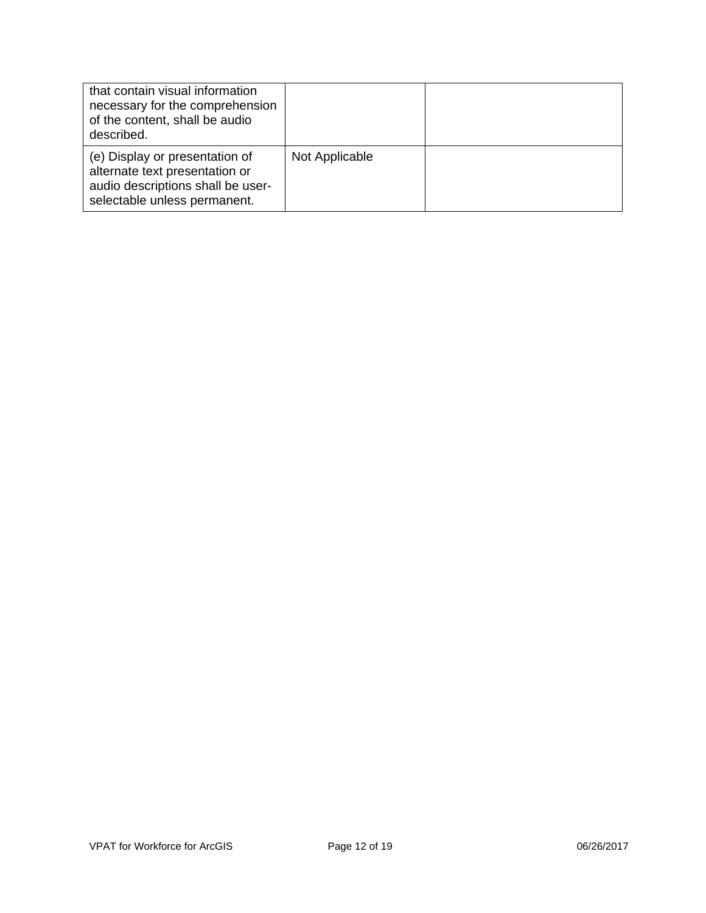| that contain visual information<br>necessary for the comprehension<br>of the content, shall be audio<br>described.                    |                |  |
|---------------------------------------------------------------------------------------------------------------------------------------|----------------|--|
| (e) Display or presentation of<br>alternate text presentation or<br>audio descriptions shall be user-<br>selectable unless permanent. | Not Applicable |  |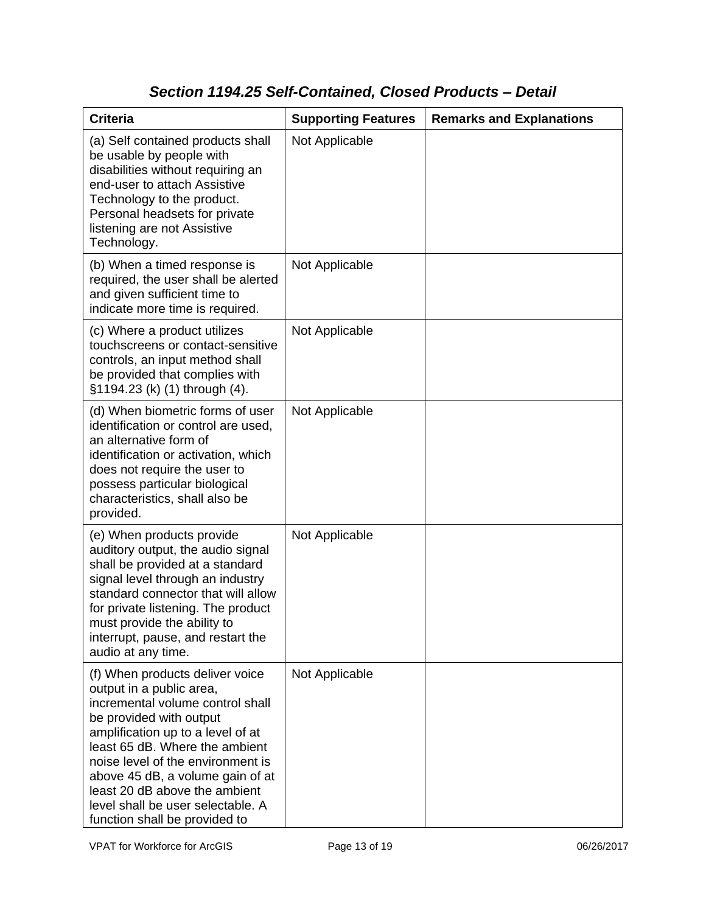## *Section 1194.25 Self-Contained, Closed Products – Detail*

| <b>Criteria</b>                                                                                                                                                                                                                                                                                                                                                                   | <b>Supporting Features</b> | <b>Remarks and Explanations</b> |
|-----------------------------------------------------------------------------------------------------------------------------------------------------------------------------------------------------------------------------------------------------------------------------------------------------------------------------------------------------------------------------------|----------------------------|---------------------------------|
| (a) Self contained products shall<br>be usable by people with<br>disabilities without requiring an<br>end-user to attach Assistive<br>Technology to the product.<br>Personal headsets for private<br>listening are not Assistive<br>Technology.                                                                                                                                   | Not Applicable             |                                 |
| (b) When a timed response is<br>required, the user shall be alerted<br>and given sufficient time to<br>indicate more time is required.                                                                                                                                                                                                                                            | Not Applicable             |                                 |
| (c) Where a product utilizes<br>touchscreens or contact-sensitive<br>controls, an input method shall<br>be provided that complies with<br>§1194.23 (k) (1) through (4).                                                                                                                                                                                                           | Not Applicable             |                                 |
| (d) When biometric forms of user<br>identification or control are used,<br>an alternative form of<br>identification or activation, which<br>does not require the user to<br>possess particular biological<br>characteristics, shall also be<br>provided.                                                                                                                          | Not Applicable             |                                 |
| (e) When products provide<br>auditory output, the audio signal<br>shall be provided at a standard<br>signal level through an industry<br>standard connector that will allow<br>for private listening. The product<br>must provide the ability to<br>interrupt, pause, and restart the<br>audio at any time.                                                                       | Not Applicable             |                                 |
| (f) When products deliver voice<br>output in a public area,<br>incremental volume control shall<br>be provided with output<br>amplification up to a level of at<br>least 65 dB. Where the ambient<br>noise level of the environment is<br>above 45 dB, a volume gain of at<br>least 20 dB above the ambient<br>level shall be user selectable. A<br>function shall be provided to | Not Applicable             |                                 |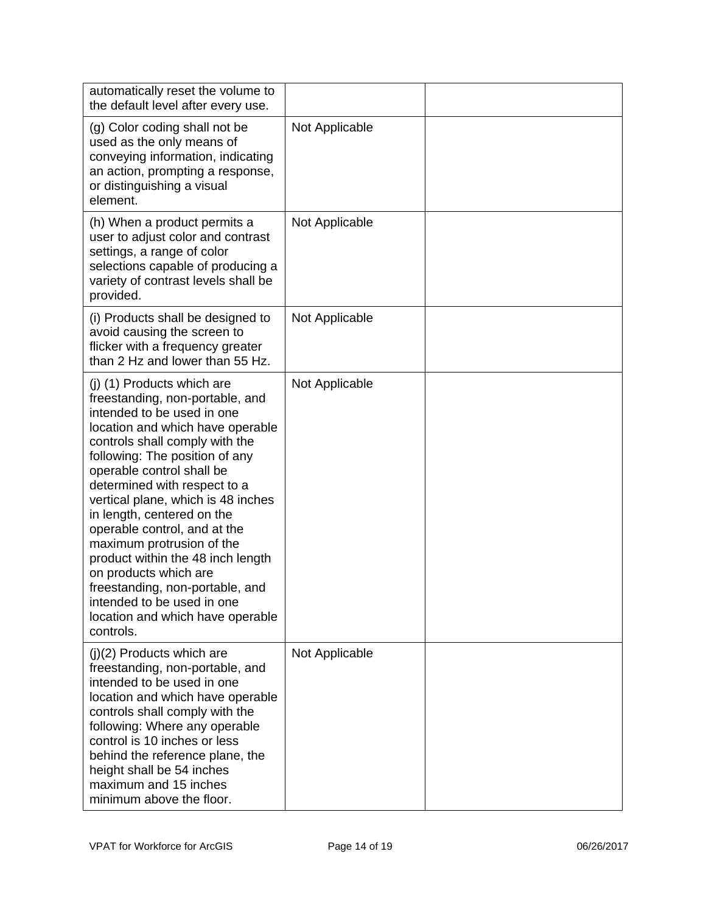| automatically reset the volume to<br>the default level after every use.                                                                                                                                                                                                                                                                                                                                                                                                                                                                                                           |                |  |
|-----------------------------------------------------------------------------------------------------------------------------------------------------------------------------------------------------------------------------------------------------------------------------------------------------------------------------------------------------------------------------------------------------------------------------------------------------------------------------------------------------------------------------------------------------------------------------------|----------------|--|
| (g) Color coding shall not be<br>used as the only means of<br>conveying information, indicating<br>an action, prompting a response,<br>or distinguishing a visual<br>element.                                                                                                                                                                                                                                                                                                                                                                                                     | Not Applicable |  |
| (h) When a product permits a<br>user to adjust color and contrast<br>settings, a range of color<br>selections capable of producing a<br>variety of contrast levels shall be<br>provided.                                                                                                                                                                                                                                                                                                                                                                                          | Not Applicable |  |
| (i) Products shall be designed to<br>avoid causing the screen to<br>flicker with a frequency greater<br>than 2 Hz and lower than 55 Hz.                                                                                                                                                                                                                                                                                                                                                                                                                                           | Not Applicable |  |
| (j) (1) Products which are<br>freestanding, non-portable, and<br>intended to be used in one<br>location and which have operable<br>controls shall comply with the<br>following: The position of any<br>operable control shall be<br>determined with respect to a<br>vertical plane, which is 48 inches<br>in length, centered on the<br>operable control, and at the<br>maximum protrusion of the<br>product within the 48 inch length<br>on products which are<br>freestanding, non-portable, and<br>intended to be used in one<br>location and which have operable<br>controls. | Not Applicable |  |
| $(j)(2)$ Products which are<br>freestanding, non-portable, and<br>intended to be used in one<br>location and which have operable<br>controls shall comply with the<br>following: Where any operable<br>control is 10 inches or less<br>behind the reference plane, the<br>height shall be 54 inches<br>maximum and 15 inches<br>minimum above the floor.                                                                                                                                                                                                                          | Not Applicable |  |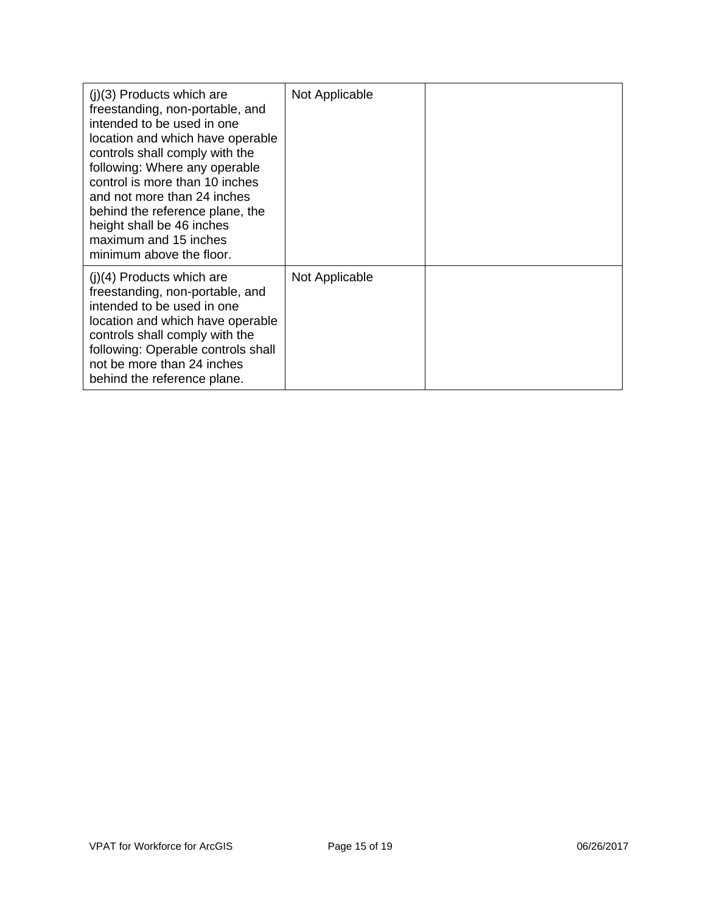| $(i)(3)$ Products which are<br>freestanding, non-portable, and<br>intended to be used in one<br>location and which have operable<br>controls shall comply with the<br>following: Where any operable<br>control is more than 10 inches<br>and not more than 24 inches<br>behind the reference plane, the<br>height shall be 46 inches<br>maximum and 15 inches<br>minimum above the floor. | Not Applicable |  |
|-------------------------------------------------------------------------------------------------------------------------------------------------------------------------------------------------------------------------------------------------------------------------------------------------------------------------------------------------------------------------------------------|----------------|--|
| $(i)(4)$ Products which are<br>freestanding, non-portable, and<br>intended to be used in one<br>location and which have operable<br>controls shall comply with the<br>following: Operable controls shall<br>not be more than 24 inches<br>behind the reference plane.                                                                                                                     | Not Applicable |  |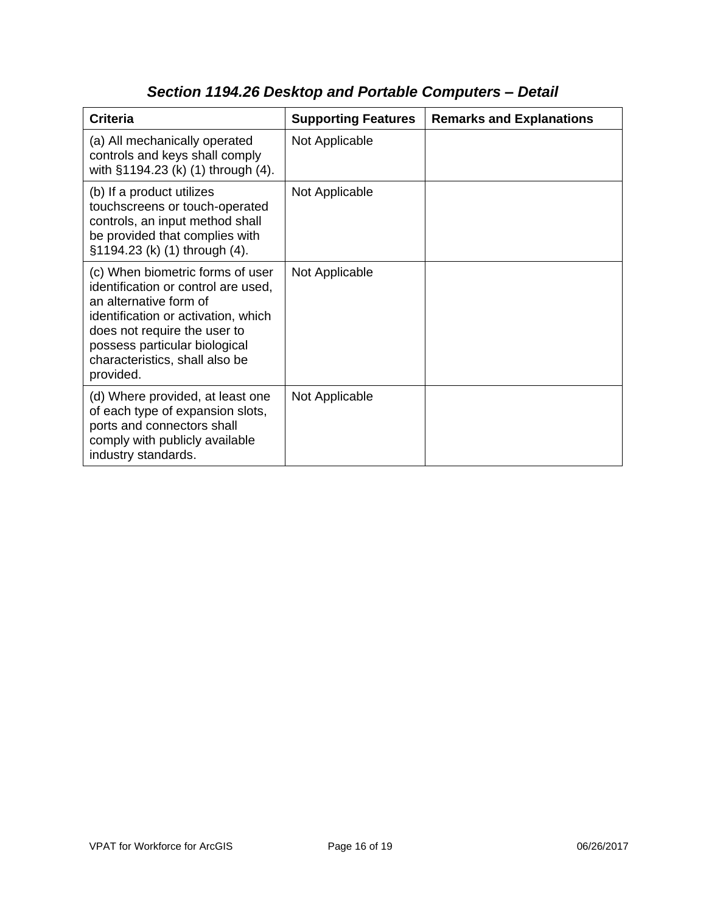| <b>Criteria</b>                                                                                                                                                                                                                                          | <b>Supporting Features</b> | <b>Remarks and Explanations</b> |
|----------------------------------------------------------------------------------------------------------------------------------------------------------------------------------------------------------------------------------------------------------|----------------------------|---------------------------------|
| (a) All mechanically operated<br>controls and keys shall comply<br>with §1194.23 (k) (1) through (4).                                                                                                                                                    | Not Applicable             |                                 |
| (b) If a product utilizes<br>touchscreens or touch-operated<br>controls, an input method shall<br>be provided that complies with<br>§1194.23 (k) (1) through (4).                                                                                        | Not Applicable             |                                 |
| (c) When biometric forms of user<br>identification or control are used,<br>an alternative form of<br>identification or activation, which<br>does not require the user to<br>possess particular biological<br>characteristics, shall also be<br>provided. | Not Applicable             |                                 |
| (d) Where provided, at least one<br>of each type of expansion slots,<br>ports and connectors shall<br>comply with publicly available<br>industry standards.                                                                                              | Not Applicable             |                                 |

# *Section 1194.26 Desktop and Portable Computers – Detail*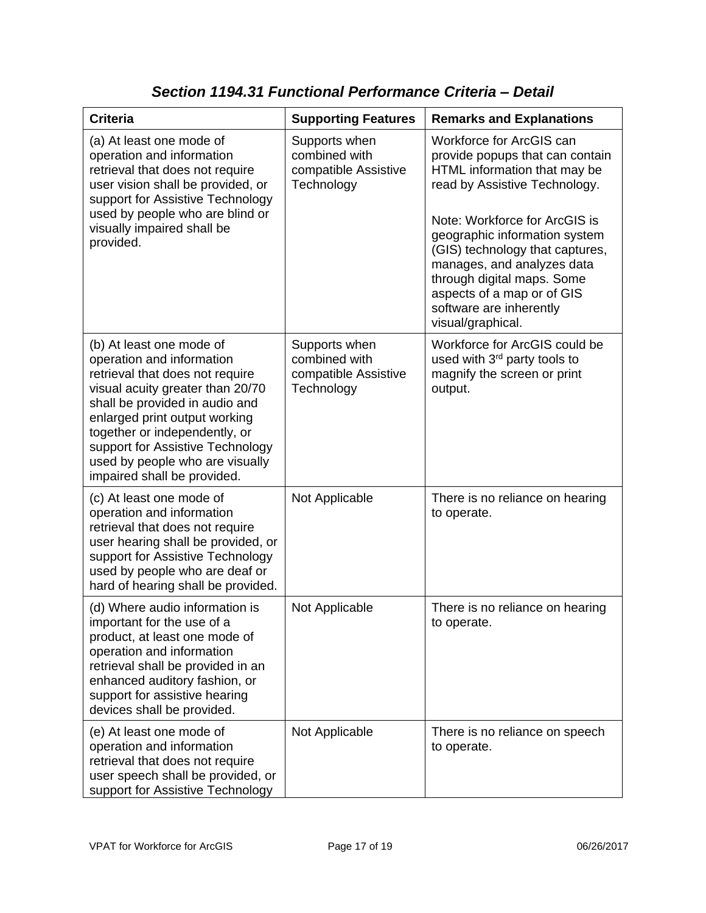| <b>Criteria</b>                                                                                                                                                                                                                                                                                                                        | <b>Supporting Features</b>                                           | <b>Remarks and Explanations</b>                                                                                                                                                                                                                                                                                                                                             |
|----------------------------------------------------------------------------------------------------------------------------------------------------------------------------------------------------------------------------------------------------------------------------------------------------------------------------------------|----------------------------------------------------------------------|-----------------------------------------------------------------------------------------------------------------------------------------------------------------------------------------------------------------------------------------------------------------------------------------------------------------------------------------------------------------------------|
| (a) At least one mode of<br>operation and information<br>retrieval that does not require<br>user vision shall be provided, or<br>support for Assistive Technology<br>used by people who are blind or<br>visually impaired shall be<br>provided.                                                                                        | Supports when<br>combined with<br>compatible Assistive<br>Technology | Workforce for ArcGIS can<br>provide popups that can contain<br>HTML information that may be<br>read by Assistive Technology.<br>Note: Workforce for ArcGIS is<br>geographic information system<br>(GIS) technology that captures,<br>manages, and analyzes data<br>through digital maps. Some<br>aspects of a map or of GIS<br>software are inherently<br>visual/graphical. |
| (b) At least one mode of<br>operation and information<br>retrieval that does not require<br>visual acuity greater than 20/70<br>shall be provided in audio and<br>enlarged print output working<br>together or independently, or<br>support for Assistive Technology<br>used by people who are visually<br>impaired shall be provided. | Supports when<br>combined with<br>compatible Assistive<br>Technology | Workforce for ArcGIS could be<br>used with 3rd party tools to<br>magnify the screen or print<br>output.                                                                                                                                                                                                                                                                     |
| (c) At least one mode of<br>operation and information<br>retrieval that does not require<br>user hearing shall be provided, or<br>support for Assistive Technology<br>used by people who are deaf or<br>hard of hearing shall be provided.                                                                                             | Not Applicable                                                       | There is no reliance on hearing<br>to operate.                                                                                                                                                                                                                                                                                                                              |
| (d) Where audio information is<br>important for the use of a<br>product, at least one mode of<br>operation and information<br>retrieval shall be provided in an<br>enhanced auditory fashion, or<br>support for assistive hearing<br>devices shall be provided.                                                                        | Not Applicable                                                       | There is no reliance on hearing<br>to operate.                                                                                                                                                                                                                                                                                                                              |
| (e) At least one mode of<br>operation and information<br>retrieval that does not require<br>user speech shall be provided, or<br>support for Assistive Technology                                                                                                                                                                      | Not Applicable                                                       | There is no reliance on speech<br>to operate.                                                                                                                                                                                                                                                                                                                               |

### *Section 1194.31 Functional Performance Criteria – Detail*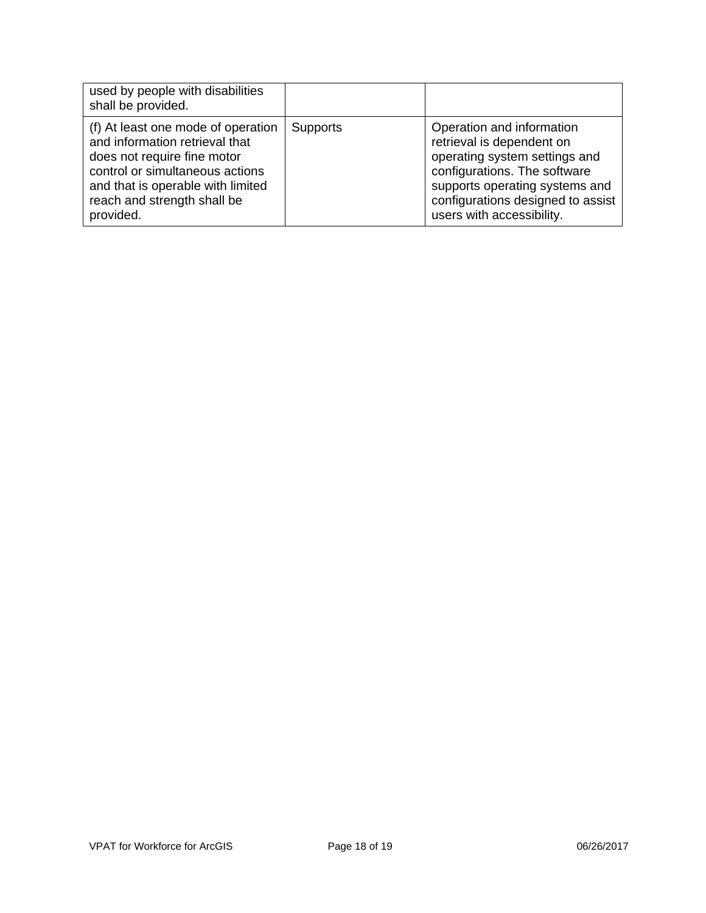| used by people with disabilities<br>shall be provided.                                                                                                                                                                  |                 |                                                                                                                                                                                                                             |
|-------------------------------------------------------------------------------------------------------------------------------------------------------------------------------------------------------------------------|-----------------|-----------------------------------------------------------------------------------------------------------------------------------------------------------------------------------------------------------------------------|
| (f) At least one mode of operation<br>and information retrieval that<br>does not require fine motor<br>control or simultaneous actions<br>and that is operable with limited<br>reach and strength shall be<br>provided. | <b>Supports</b> | Operation and information<br>retrieval is dependent on<br>operating system settings and<br>configurations. The software<br>supports operating systems and<br>configurations designed to assist<br>users with accessibility. |